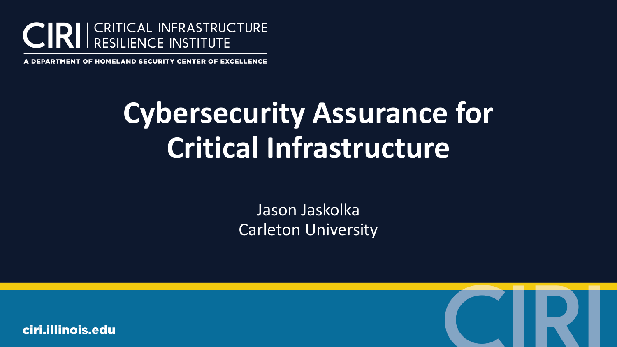

A DEPARTMENT OF HOMELAND SECURITY CENTER OF EXCELLENCE

# **Cybersecurity Assurance for Critical Infrastructure**

Jason Jaskolka Carleton University

ciri.illinois.edu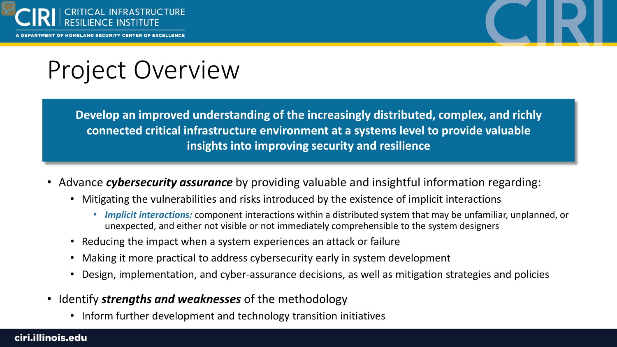

TMENT OF HOMELAND SECURITY CENTER OF EXCELLENCE



### Project Overview

**Develop an improved understanding of the increasingly distributed, complex, and richly connected critical infrastructure environment at a systems level to provide valuable insights into improving security and resilience** 

- Advance *cybersecurity assurance* by providing valuable and insightful information regarding:
	- Mitigating the vulnerabilities and risks introduced by the existence of implicit interactions
		- *Implicit interactions:* component interactions within a distributed system that may be unfamiliar, unplanned, or unexpected, and either not visible or not immediately comprehensible to the system designers
	- Reducing the impact when a system experiences an attack or failure
	- Making it more practical to address cybersecurity early in system development
	- Design, implementation, and cyber-assurance decisions, as well as mitigation strategies and policies
- Identify *strengths and weaknesses* of the methodology
	- Inform further development and technology transition initiatives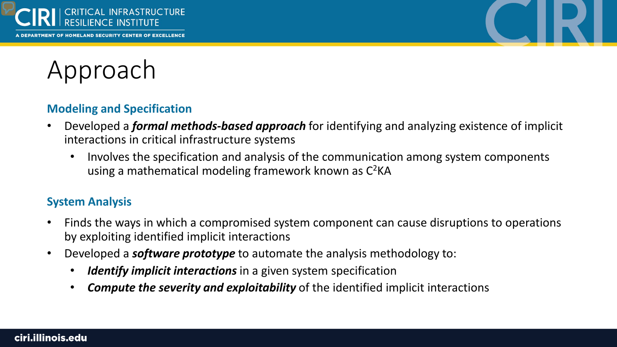





### **Modeling and Specification**

- Developed a *formal methods-based approach* for identifying and analyzing existence of implicit interactions in critical infrastructure systems
	- Involves the specification and analysis of the communication among system components using a mathematical modeling framework known as  $C^2KA$

### **System Analysis**

- Finds the ways in which a compromised system component can cause disruptions to operations by exploiting identified implicit interactions
- Developed a *software prototype* to automate the analysis methodology to:
	- *Identify implicit interactions* in a given system specification
	- *Compute the severity and exploitability* of the identified implicit interactions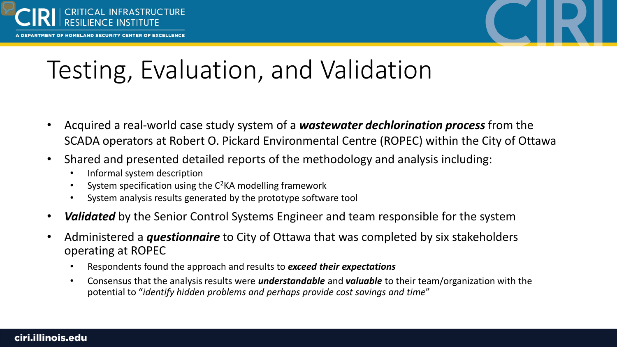

RTMENT OF HOMELAND SECURITY CENTER OF EXCELLENCE



# Testing, Evaluation, and Validation

- Acquired a real-world case study system of a *wastewater dechlorination process* from the SCADA operators at Robert O. Pickard Environmental Centre (ROPEC) within the City of Ottawa
- Shared and presented detailed reports of the methodology and analysis including:
	- Informal system description
	- System specification using the C<sup>2</sup>KA modelling framework
	- System analysis results generated by the prototype software tool
- *Validated* by the Senior Control Systems Engineer and team responsible for the system
- Administered a *questionnaire* to City of Ottawa that was completed by six stakeholders operating at ROPEC
	- Respondents found the approach and results to *exceed their expectations*
	- Consensus that the analysis results were *understandable* and *valuable* to their team/organization with the potential to "*identify hidden problems and perhaps provide cost savings and time*"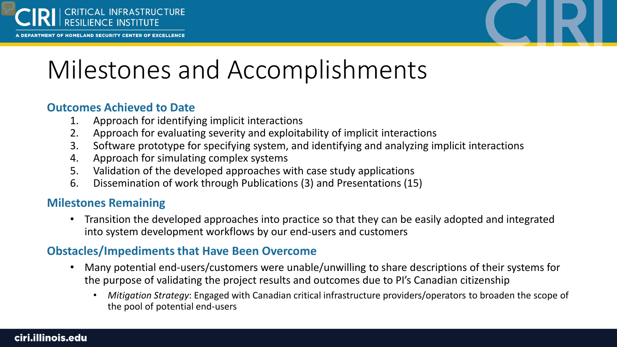

RTMENT OF HOMELAND SECURITY CENTER OF EXCELLENCE



## Milestones and Accomplishments

#### **Outcomes Achieved to Date**

- 1. Approach for identifying implicit interactions
- 2. Approach for evaluating severity and exploitability of implicit interactions
- 3. Software prototype for specifying system, and identifying and analyzing implicit interactions
- 4. Approach for simulating complex systems
- 5. Validation of the developed approaches with case study applications
- 6. Dissemination of work through Publications (3) and Presentations (15)

#### **Milestones Remaining**

• Transition the developed approaches into practice so that they can be easily adopted and integrated into system development workflows by our end-users and customers

#### **Obstacles/Impediments that Have Been Overcome**

- Many potential end-users/customers were unable/unwilling to share descriptions of their systems for the purpose of validating the project results and outcomes due to PI's Canadian citizenship
	- *Mitigation Strategy*: Engaged with Canadian critical infrastructure providers/operators to broaden the scope of the pool of potential end-users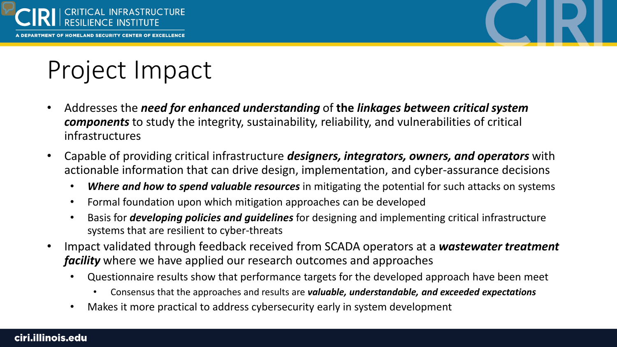



# Project Impact

- Addresses the *need for enhanced understanding* of **the** *linkages between critical system components* to study the integrity, sustainability, reliability, and vulnerabilities of critical infrastructures
- Capable of providing critical infrastructure *designers, integrators, owners, and operators* with actionable information that can drive design, implementation, and cyber-assurance decisions
	- *Where and how to spend valuable resources* in mitigating the potential for such attacks on systems
	- Formal foundation upon which mitigation approaches can be developed
	- Basis for *developing policies and guidelines* for designing and implementing critical infrastructure systems that are resilient to cyber-threats
- Impact validated through feedback received from SCADA operators at a *wastewater treatment facility* where we have applied our research outcomes and approaches
	- Questionnaire results show that performance targets for the developed approach have been meet
		- Consensus that the approaches and results are *valuable, understandable, and exceeded expectations*
	- Makes it more practical to address cybersecurity early in system development

#### ciri.illinois.edu